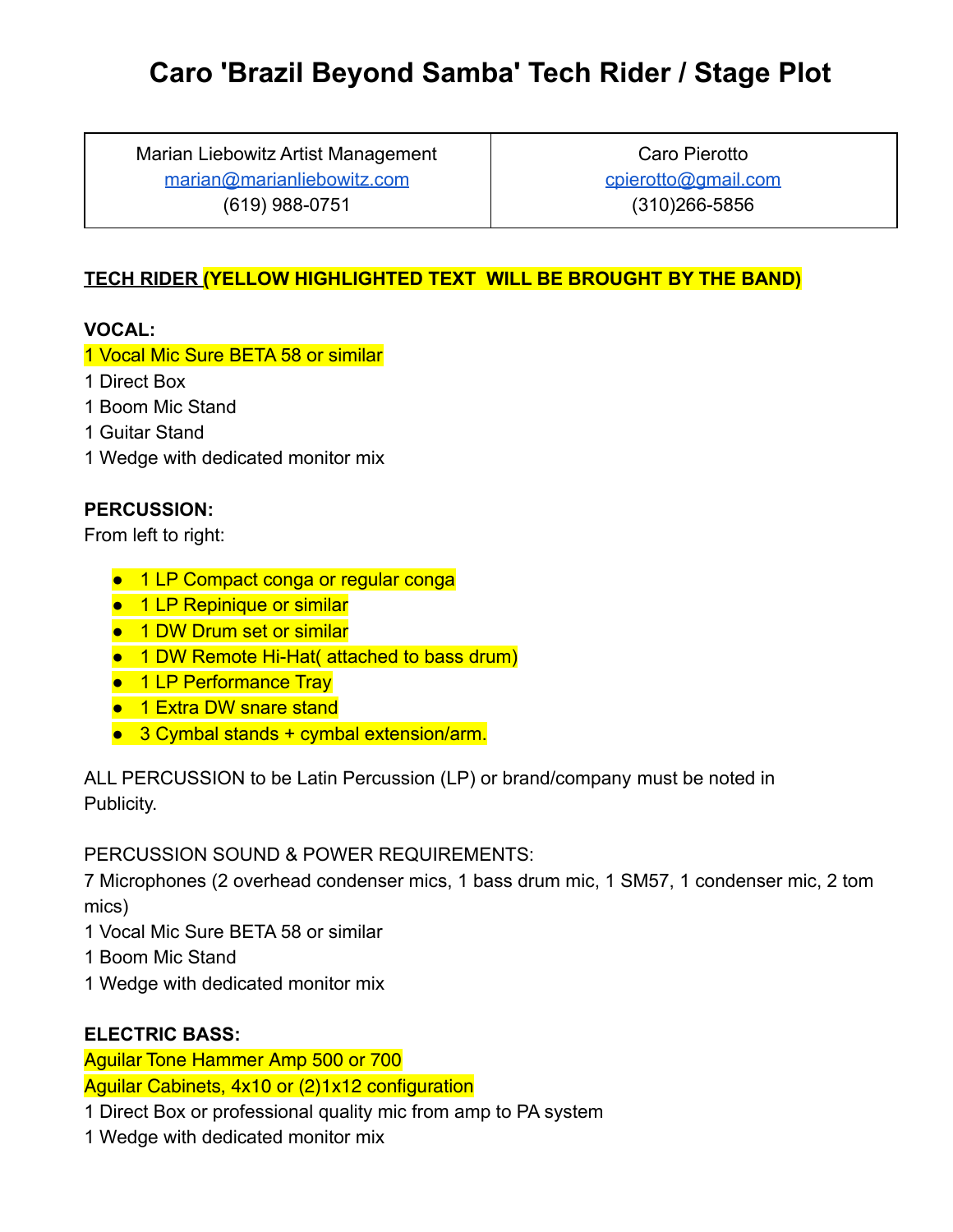# **Caro 'Brazil Beyond Samba' Tech Rider / Stage Plot**

Marian Liebowitz Artist Management [marian@marianliebowitz.com](mailto:marian@marianliebowitz.com) (619) 988-0751

Caro Pierotto [cpierotto@gmail.com](mailto:cpierotto@gmail.com) (310)266-5856

# **TECH RIDER (YELLOW HIGHLIGHTED TEXT WILL BE BROUGHT BY THE BAND)**

# **VOCAL:**

#### 1 Vocal Mic Sure BETA 58 or similar

- 1 Direct Box
- 1 Boom Mic Stand
- 1 Guitar Stand
- 1 Wedge with dedicated monitor mix

# **PERCUSSION:**

From left to right:

- 1 LP Compact conga or regular conga
- 1 LP Repinique or similar
- 1 DW Drum set or similar
- 1 DW Remote Hi-Hat( attached to bass drum)
- 1 LP Performance Tray
- 1 Extra DW snare stand
- 3 Cymbal stands + cymbal extension/arm.

ALL PERCUSSION to be Latin Percussion (LP) or brand/company must be noted in Publicity.

PERCUSSION SOUND & POWER REQUIREMENTS:

7 Microphones (2 overhead condenser mics, 1 bass drum mic, 1 SM57, 1 condenser mic, 2 tom mics)

- 1 Vocal Mic Sure BETA 58 or similar
- 1 Boom Mic Stand
- 1 Wedge with dedicated monitor mix

#### **ELECTRIC BASS:**

Aguilar Tone Hammer Amp 500 or 700 Aguilar Cabinets, 4x10 or (2)1x12 configuration

- 1 Direct Box or professional quality mic from amp to PA system
- 1 Wedge with dedicated monitor mix